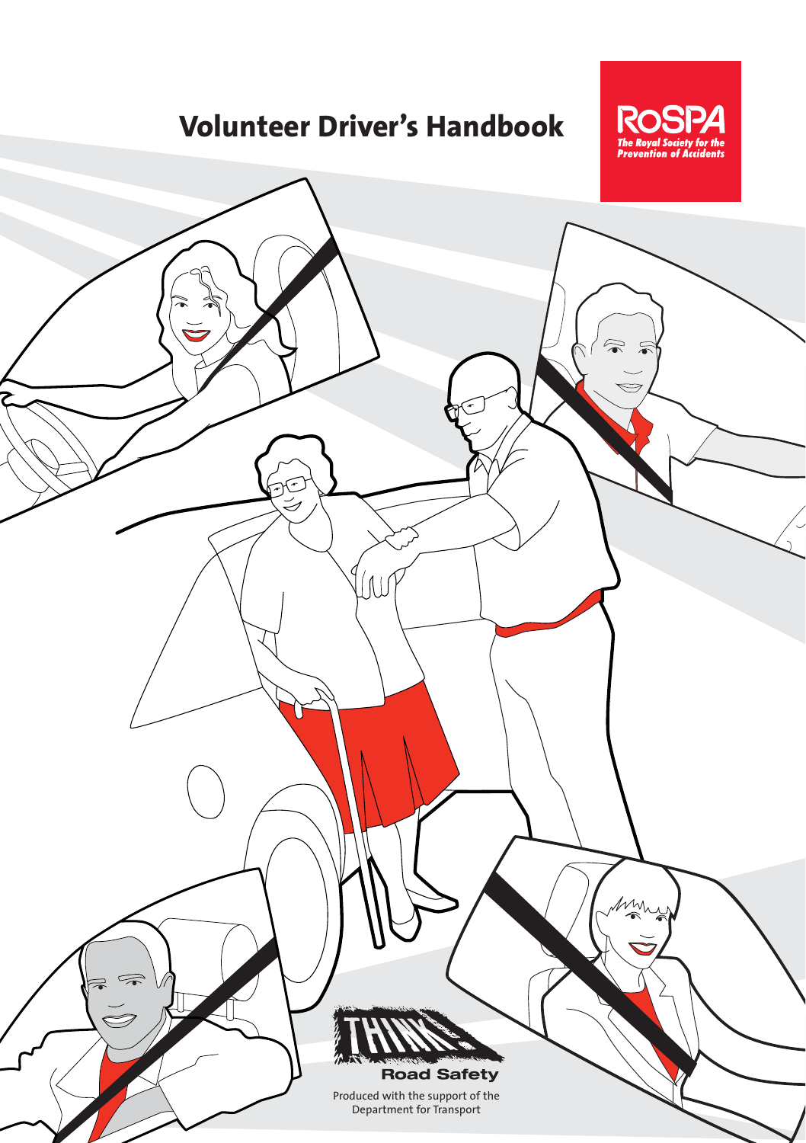### **Volunteer Driver's Handbook**



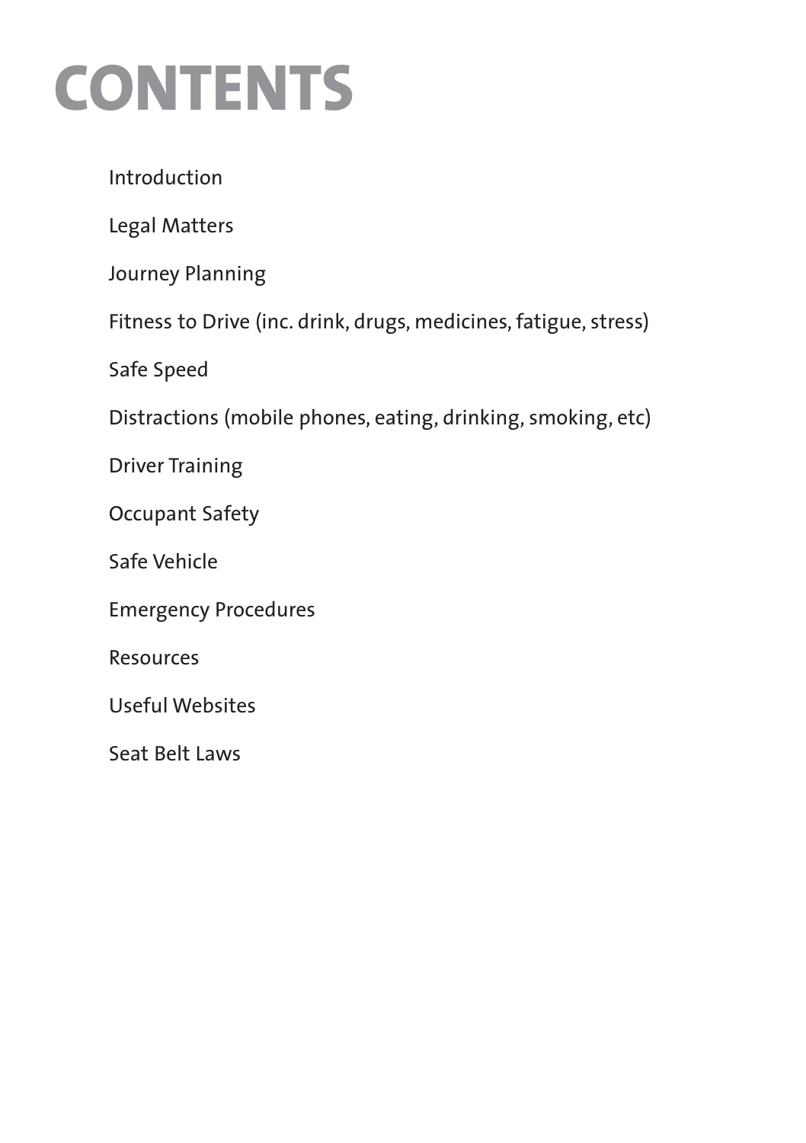### **CONTENTS**

Introduction

Legal Matters

Journey Planning

Fitness to Drive (inc. drink, drugs, medicines, fatigue, stress)

Safe Speed

Distractions (mobile phones, eating, drinking, smoking, etc)

Driver Training

Occupant Safety

Safe Vehicle

Emergency Procedures

Resources

Useful Websites

Seat Belt Laws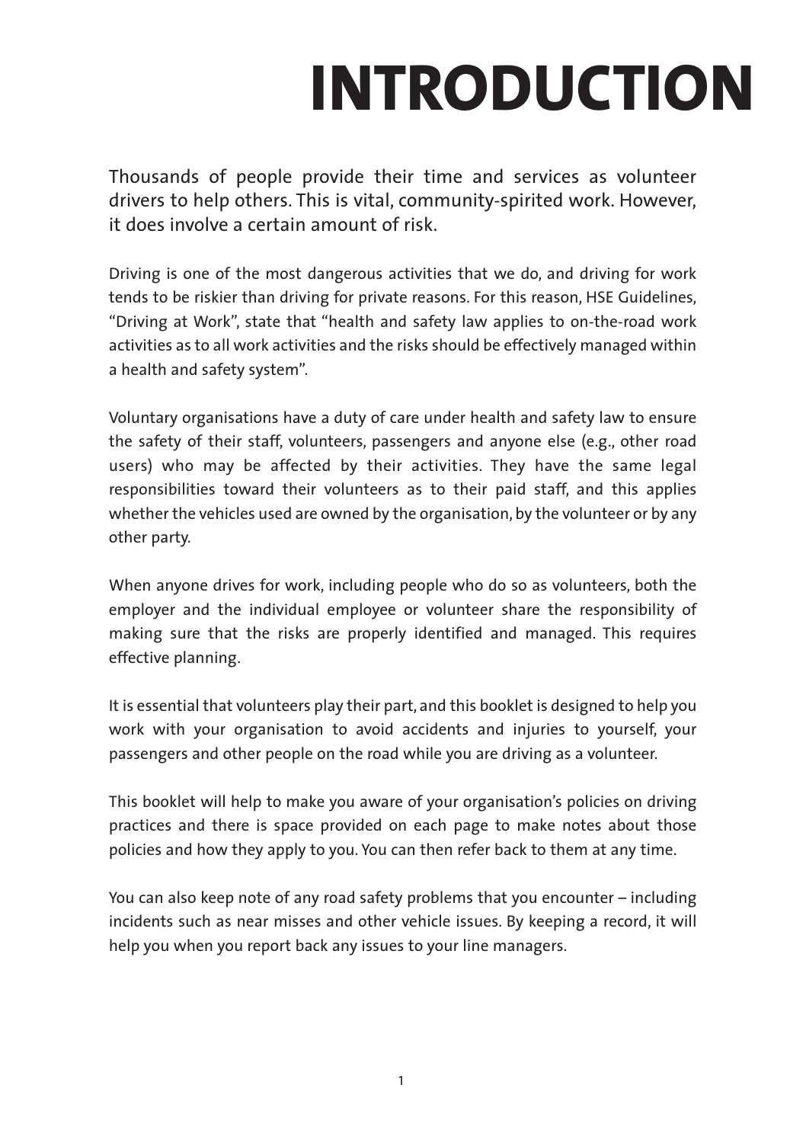# **INTRODUCTION**

Thousands of people provide their time and services as volunteer drivers to help others. This is vital, community-spirited work. However, it does involve a certain amount of risk.

Driving is one of the most dangerous activities that we do, and driving for work tends to be riskier than driving for private reasons. For this reason, HSE Guidelines, "Driving at Work", state that "health and safety law applies to on-the-road work activities as to all work activities and the risks should be effectively managed within a health and safety system".

Voluntary organisations have a duty of care under health and safety law to ensure the safety of their staff, volunteers, passengers and anyone else (e.g., other road users) who may be affected by their activities. They have the same legal responsibilities toward their volunteers as to their paid staff, and this applies whether the vehicles used are owned by the organisation, by the volunteer or by any other party.

When anyone drives for work, including people who do so as volunteers, both the employer and the individual employee or volunteer share the responsibility of making sure that the risks are properly identified and managed. This requires effective planning.

It is essential that volunteers play their part, and this booklet is designed to help you work with your organisation to avoid accidents and injuries to yourself, your passengers and other people on the road while you are driving as a volunteer.

This booklet will help to make you aware of your organisation's policies on driving practices and there is space provided on each page to make notes about those policies and how they apply to you. You can then refer back to them at any time.

You can also keep note of any road safety problems that you encounter – including incidents such as near misses and other vehicle issues. By keeping a record, it will help you when you report back any issues to your line managers.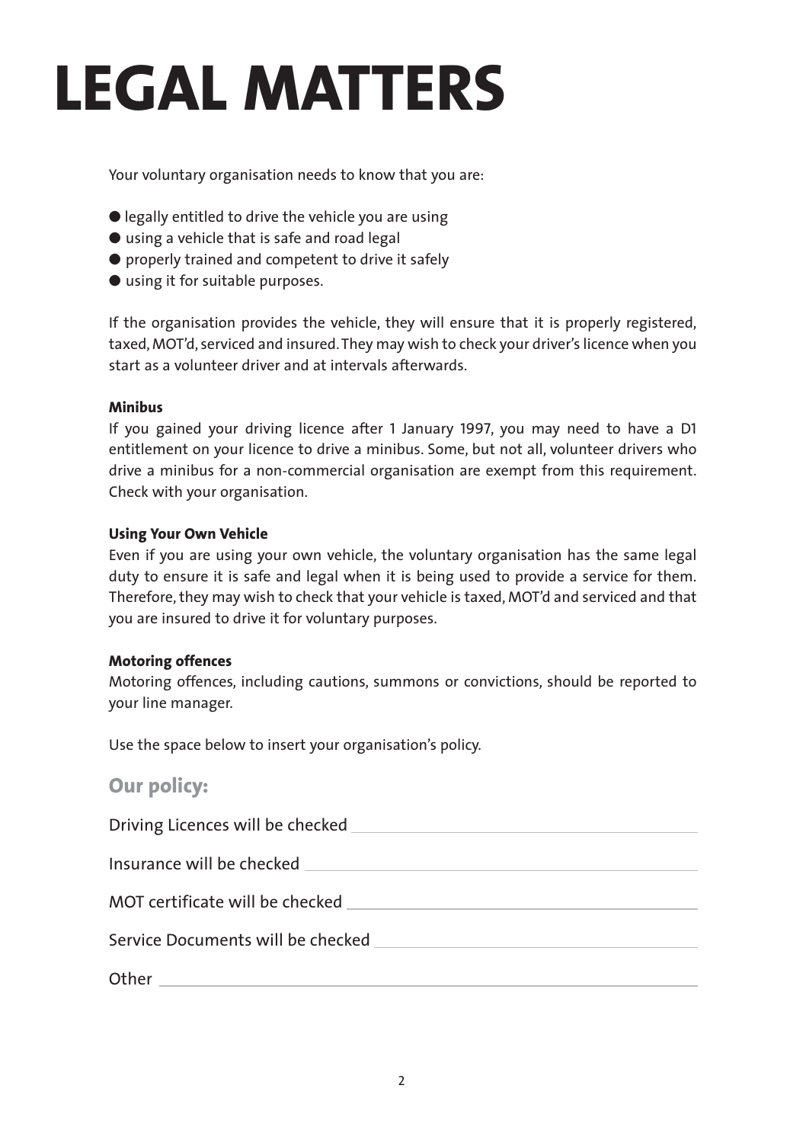### **LEGAL MATTERS**

Your voluntary organisation needs to know that you are:

- legally entitled to drive the vehicle you are using
- using a vehicle that is safe and road legal
- properly trained and competent to drive it safely
- using it for suitable purposes.

If the organisation provides the vehicle, they will ensure that it is properly registered, taxed, MOT'd, serviced and insured. They may wish to check your driver's licence when you start as a volunteer driver and at intervals afterwards.

#### **Minibus**

If you gained your driving licence after 1 January 1997, you may need to have a D1 entitlement on your licence to drive a minibus. Some, but not all, volunteer drivers who drive a minibus for a non-commercial organisation are exempt from this requirement. Check with your organisation.

#### **Using Your Own Vehicle**

Even if you are using your own vehicle, the voluntary organisation has the same legal duty to ensure it is safe and legal when it is being used to provide a service for them. Therefore, they may wish to check that your vehicle is taxed, MOT'd and serviced and that you are insured to drive it for voluntary purposes.

#### **Motoring offences**

Motoring offences, including cautions, summons or convictions, should be reported to your line manager.

Use the space below to insert your organisation's policy.

#### **Our policy:**

Driving Licences will be checked Insurance will be checked MOT certificate will be checked Service Documents will be checked Other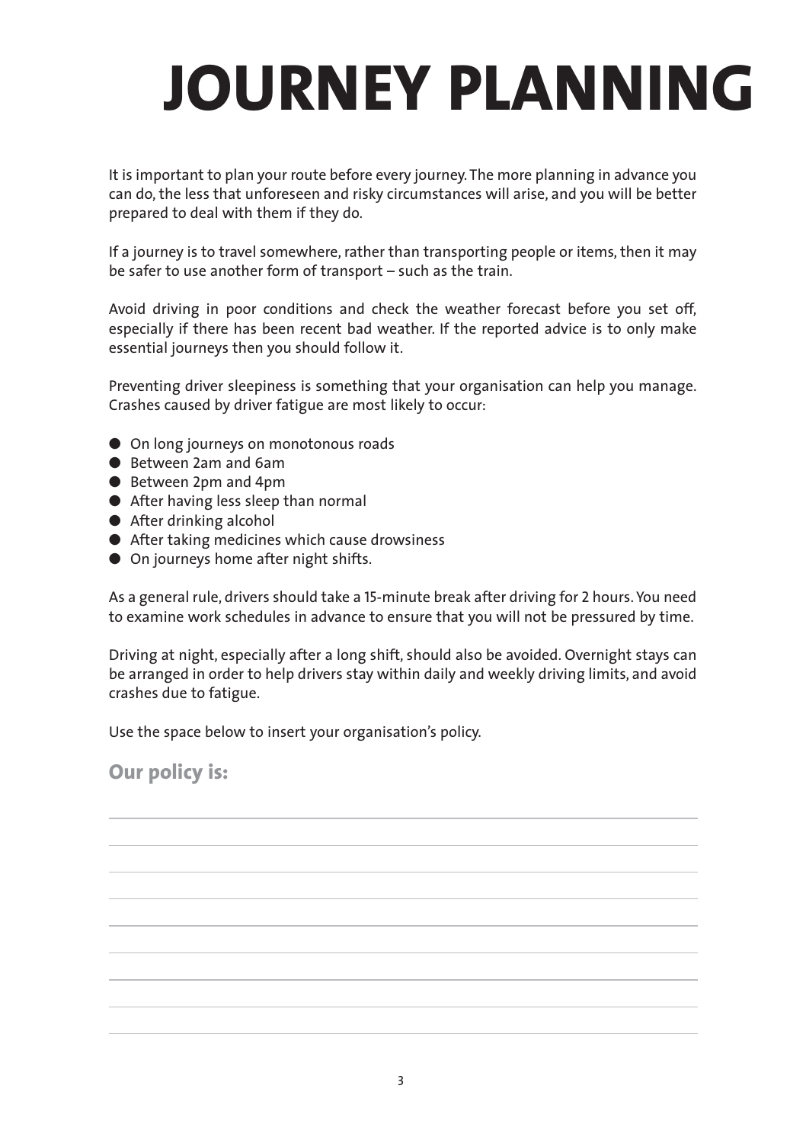# **JOURNEY PLANNING**

It is important to plan your route before every journey. The more planning in advance you can do, the less that unforeseen and risky circumstances will arise, and you will be better prepared to deal with them if they do.

If a journey is to travel somewhere, rather than transporting people or items, then it may be safer to use another form of transport – such as the train.

Avoid driving in poor conditions and check the weather forecast before you set off, especially if there has been recent bad weather. If the reported advice is to only make essential journeys then you should follow it.

Preventing driver sleepiness is something that your organisation can help you manage. Crashes caused by driver fatigue are most likely to occur:

- On long journeys on monotonous roads
- Retween 2am and 6am
- Between 2pm and 4pm
- After having less sleep than normal
- After drinking alcohol
- After taking medicines which cause drowsiness
- On journeys home after night shifts.

As a general rule, drivers should take a 15-minute break after driving for 2 hours. You need to examine work schedules in advance to ensure that you will not be pressured by time.

Driving at night, especially after a long shift, should also be avoided. Overnight stays can be arranged in order to help drivers stay within daily and weekly driving limits, and avoid crashes due to fatigue.

Use the space below to insert your organisation's policy.

**Our policy is:**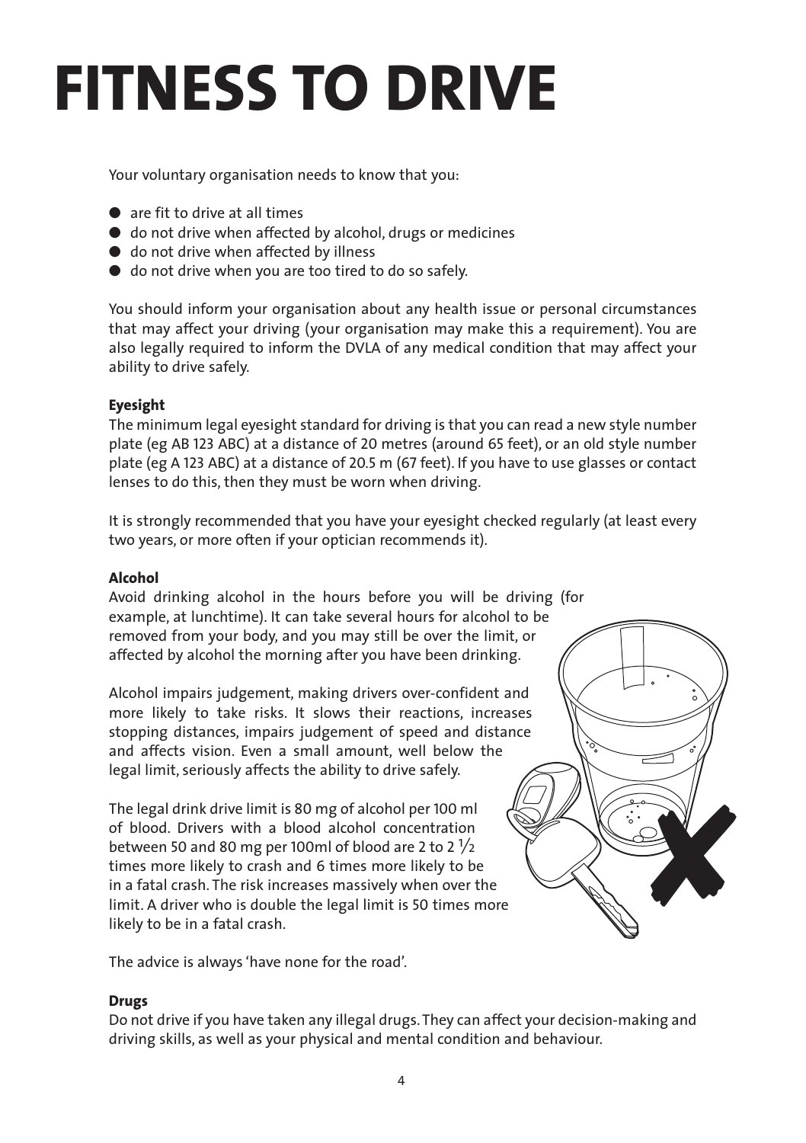### **FITNESS TO DRIVE**

Your voluntary organisation needs to know that you:

- are fit to drive at all times
- do not drive when affected by alcohol, drugs or medicines
- do not drive when affected by illness
- do not drive when you are too tired to do so safely.

You should inform your organisation about any health issue or personal circumstances that may affect your driving (your organisation may make this a requirement). You are also legally required to inform the DVLA of any medical condition that may affect your ability to drive safely.

#### **Eyesight**

The minimum legal eyesight standard for driving is that you can read a new style number plate (eg AB 123 ABC) at a distance of 20 metres (around 65 feet), or an old style number plate (eg A 123 ABC) at a distance of 20.5 m (67 feet). If you have to use glasses or contact lenses to do this, then they must be worn when driving.

It is strongly recommended that you have your eyesight checked regularly (at least every two years, or more often if your optician recommends it).

#### **Alcohol**

Avoid drinking alcohol in the hours before you will be driving (for example, at lunchtime). It can take several hours for alcohol to be removed from your body, and you may still be over the limit, or affected by alcohol the morning after you have been drinking.

Alcohol impairs judgement, making drivers over-confident and more likely to take risks. It slows their reactions, increases stopping distances, impairs judgement of speed and distance and affects vision. Even a small amount, well below the legal limit, seriously affects the ability to drive safely.

The legal drink drive limit is 80 mg of alcohol per 100 ml of blood. Drivers with a blood alcohol concentration between 50 and 80 mg per 100ml of blood are 2 to 2 $\frac{1}{2}$ times more likely to crash and 6 times more likely to be in a fatal crash. The risk increases massively when over the limit. A driver who is double the legal limit is 50 times more likely to be in a fatal crash.

The advice is always 'have none for the road'.

#### **Drugs**

Do not drive if you have taken any illegal drugs. They can affect your decision-making and driving skills, as well as your physical and mental condition and behaviour.

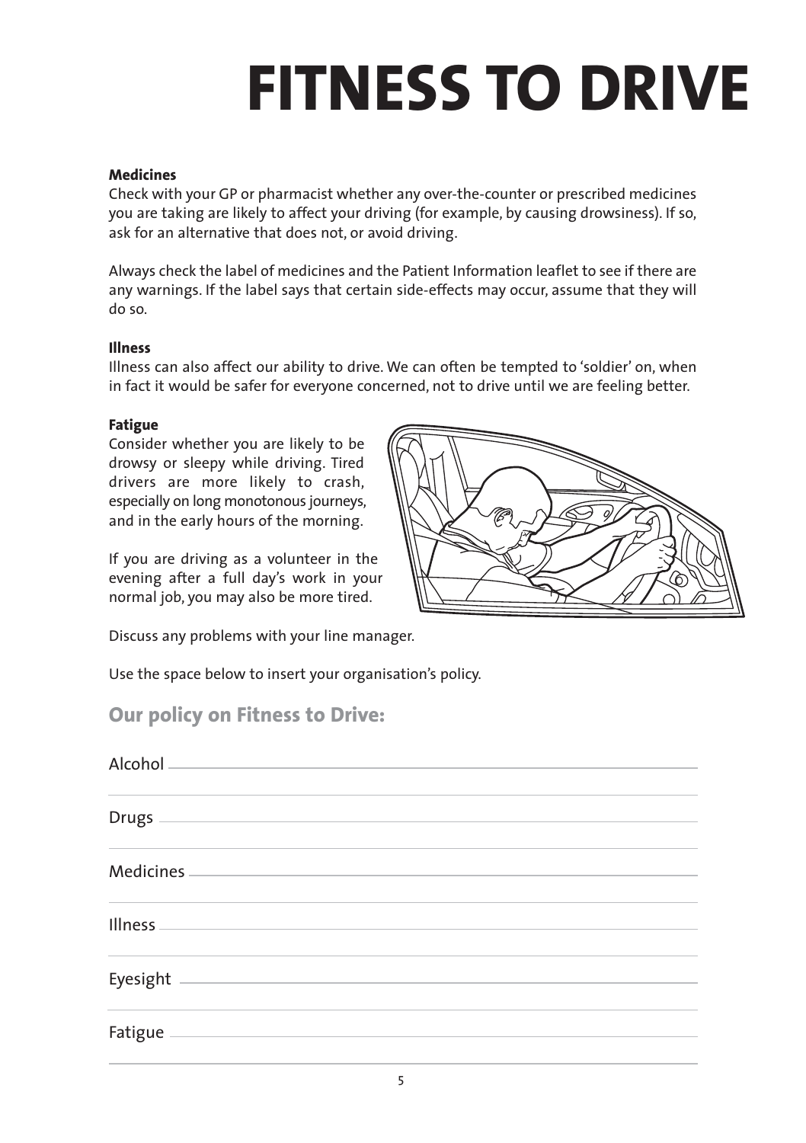# **FITNESS TO DRIVE**

#### **Medicines**

Check with your GP or pharmacist whether any over-the-counter or prescribed medicines you are taking are likely to affect your driving (for example, by causing drowsiness). If so, ask for an alternative that does not, or avoid driving.

Always check the label of medicines and the Patient Information leaflet to see if there are any warnings. If the label says that certain side-effects may occur, assume that they will do so.

#### **Illness**

Illness can also affect our ability to drive. We can often be tempted to 'soldier' on, when in fact it would be safer for everyone concerned, not to drive until we are feeling better.

#### **Fatigue**

Consider whether you are likely to be drowsy or sleepy while driving. Tired drivers are more likely to crash, especially on long monotonous journeys, and in the early hours of the morning.

If you are driving as a volunteer in the evening after a full day's work in your normal job, you may also be more tired.

Discuss any problems with your line manager.

Use the space below to insert your organisation's policy.

#### **Our policy on Fitness to Drive:**

| Drugs $\overline{\phantom{a}}$                                                               |                                                                                                                        |  |  |
|----------------------------------------------------------------------------------------------|------------------------------------------------------------------------------------------------------------------------|--|--|
| Medicines.                                                                                   |                                                                                                                        |  |  |
| <b>Illness</b><br>the control of the control of the control of the control of the control of |                                                                                                                        |  |  |
| Eyesight                                                                                     | <u> 1989 - Johann Stoff, deutscher Stoffen und der Stoffen und der Stoffen und der Stoffen und der Stoffen und der</u> |  |  |
|                                                                                              |                                                                                                                        |  |  |

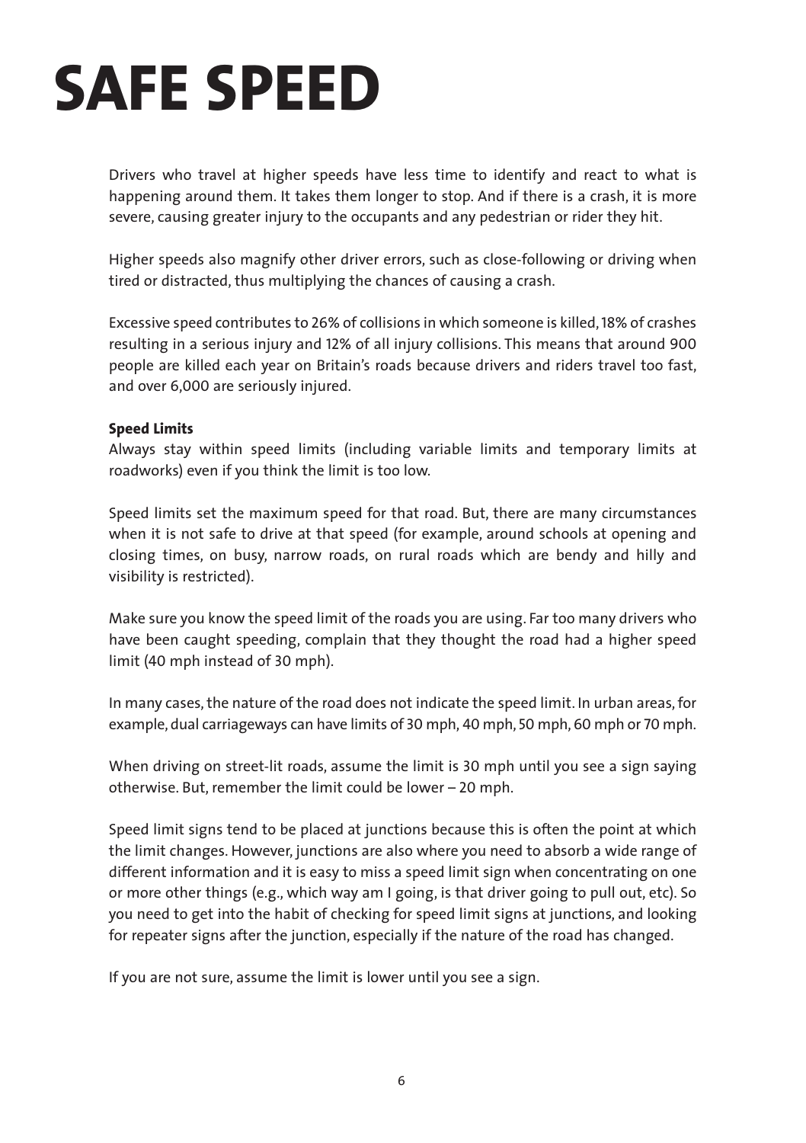### **SAFE SPEED**

Drivers who travel at higher speeds have less time to identify and react to what is happening around them. It takes them longer to stop. And if there is a crash, it is more severe, causing greater injury to the occupants and any pedestrian or rider they hit.

Higher speeds also magnify other driver errors, such as close-following or driving when tired or distracted, thus multiplying the chances of causing a crash.

Excessive speed contributes to 26% of collisions in which someone is killed,18% of crashes resulting in a serious injury and 12% of all injury collisions. This means that around 900 people are killed each year on Britain's roads because drivers and riders travel too fast, and over 6,000 are seriously injured.

#### **Speed Limits**

Always stay within speed limits (including variable limits and temporary limits at roadworks) even if you think the limit is too low.

Speed limits set the maximum speed for that road. But, there are many circumstances when it is not safe to drive at that speed (for example, around schools at opening and closing times, on busy, narrow roads, on rural roads which are bendy and hilly and visibility is restricted).

Make sure you know the speed limit of the roads you are using. Far too many drivers who have been caught speeding, complain that they thought the road had a higher speed limit (40 mph instead of 30 mph).

In many cases, the nature of the road does not indicate the speed limit. In urban areas, for example, dual carriageways can have limits of 30 mph, 40 mph, 50 mph, 60 mph or 70 mph.

When driving on street-lit roads, assume the limit is 30 mph until you see a sign saying otherwise. But, remember the limit could be lower – 20 mph.

Speed limit signs tend to be placed at junctions because this is often the point at which the limit changes. However, junctions are also where you need to absorb a wide range of different information and it is easy to miss a speed limit sign when concentrating on one or more other things (e.g., which way am I going, is that driver going to pull out, etc). So you need to get into the habit of checking for speed limit signs at junctions, and looking for repeater signs after the junction, especially if the nature of the road has changed.

If you are not sure, assume the limit is lower until you see a sign.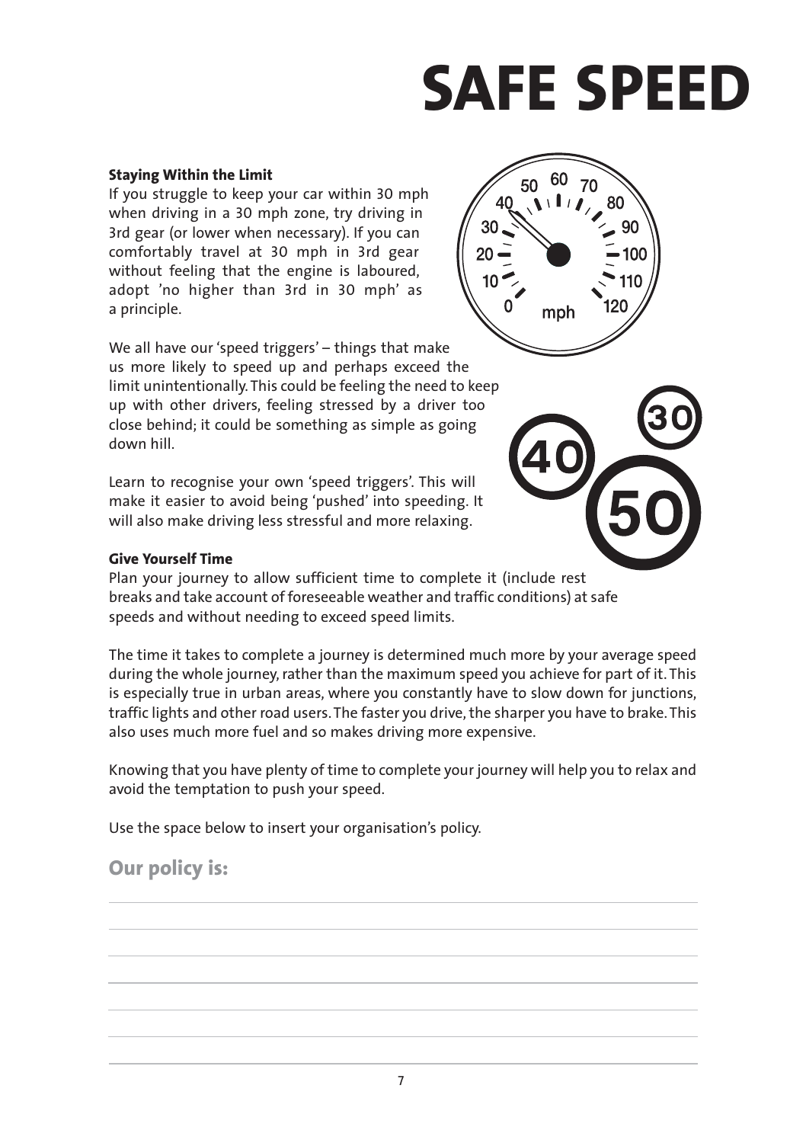# **SAFE SPEED**

#### **Staying Within the Limit**

If you struggle to keep your car within 30 mph when driving in a 30 mph zone, try driving in 3rd gear (or lower when necessary). If you can comfortably travel at 30 mph in 3rd gear without feeling that the engine is laboured, adopt 'no higher than 3rd in 30 mph' as a principle.

We all have our 'speed triggers' – things that make us more likely to speed up and perhaps exceed the limit unintentionally. This could be feeling the need to keep up with other drivers, feeling stressed by a driver too close behind; it could be something as simple as going down hill.

Learn to recognise your own 'speed triggers'. This will make it easier to avoid being 'pushed' into speeding. It will also make driving less stressful and more relaxing.



Plan your journey to allow sufficient time to complete it (include rest breaks and take account of foreseeable weather and traffic conditions) at safe speeds and without needing to exceed speed limits.

The time it takes to complete a journey is determined much more by your average speed during the whole journey, rather than the maximum speed you achieve for part of it. This is especially true in urban areas, where you constantly have to slow down for junctions, traffic lights and other road users. The faster you drive, the sharper you have to brake. This also uses much more fuel and so makes driving more expensive.

Knowing that you have plenty of time to complete your journey will help you to relax and avoid the temptation to push your speed.

Use the space below to insert your organisation's policy.

### **Our policy is:**



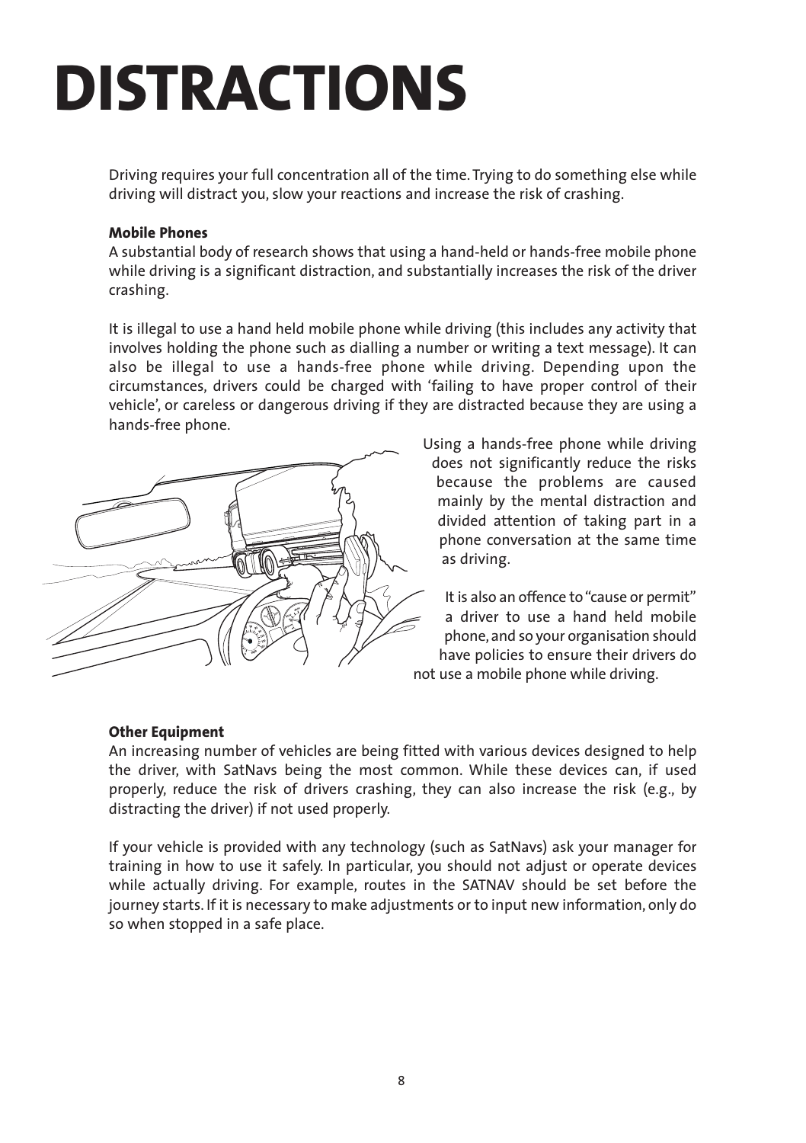### **DISTRACTIONS**

Driving requires your full concentration all of the time. Trying to do something else while driving will distract you, slow your reactions and increase the risk of crashing.

#### **Mobile Phones**

A substantial body of research shows that using a hand-held or hands-free mobile phone while driving is a significant distraction, and substantially increases the risk of the driver crashing.

It is illegal to use a hand held mobile phone while driving (this includes any activity that involves holding the phone such as dialling a number or writing a text message). It can also be illegal to use a hands-free phone while driving. Depending upon the circumstances, drivers could be charged with 'failing to have proper control of their vehicle', or careless or dangerous driving if they are distracted because they are using a hands-free phone.



Using a hands-free phone while driving does not significantly reduce the risks because the problems are caused mainly by the mental distraction and divided attention of taking part in a phone conversation at the same time as driving.

It is also an offence to "cause or permit" a driver to use a hand held mobile phone, and so your organisation should have policies to ensure their drivers do not use a mobile phone while driving.

#### **Other Equipment**

An increasing number of vehicles are being fitted with various devices designed to help the driver, with SatNavs being the most common. While these devices can, if used properly, reduce the risk of drivers crashing, they can also increase the risk (e.g., by distracting the driver) if not used properly.

If your vehicle is provided with any technology (such as SatNavs) ask your manager for training in how to use it safely. In particular, you should not adjust or operate devices while actually driving. For example, routes in the SATNAV should be set before the journey starts. If it is necessary to make adjustments or to input new information, only do so when stopped in a safe place.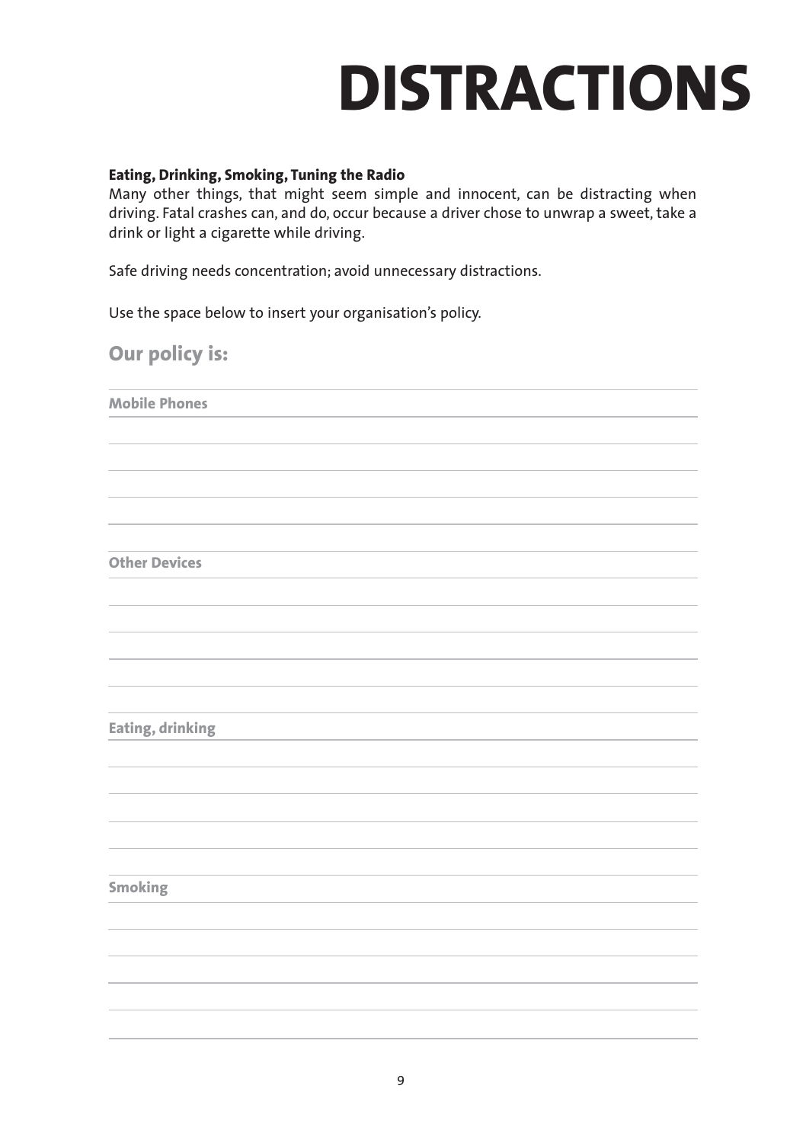### **DISTRACTIONS**

#### **Eating, Drinking, Smoking, Tuning the Radio**

Many other things, that might seem simple and innocent, can be distracting when driving. Fatal crashes can, and do, occur because a driver chose to unwrap a sweet, take a drink or light a cigarette while driving.

Safe driving needs concentration; avoid unnecessary distractions.

Use the space below to insert your organisation's policy.

**Our policy is:**

**Mobile Phones**

**Other Devices**

**Eating, drinking**

**Smoking**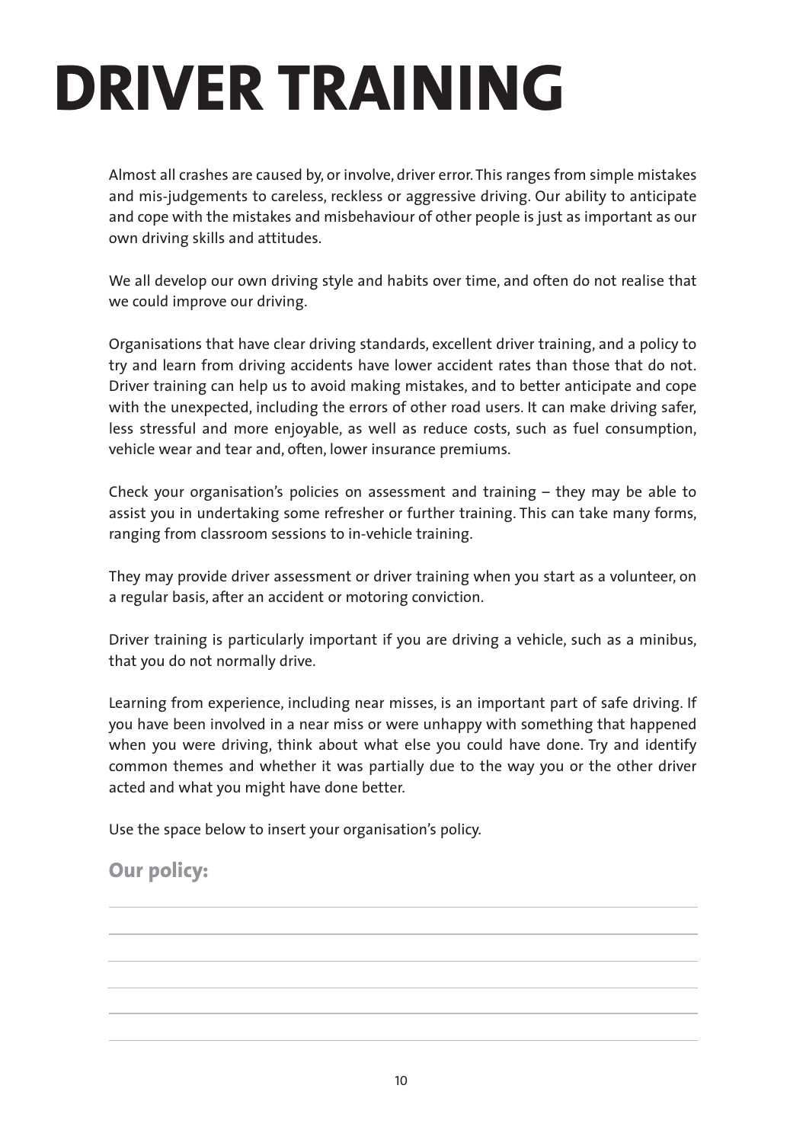### **DRIVER TRAINING**

Almost all crashes are caused by, or involve, driver error. This ranges from simple mistakes and mis-judgements to careless, reckless or aggressive driving. Our ability to anticipate and cope with the mistakes and misbehaviour of other people is just as important as our own driving skills and attitudes.

We all develop our own driving style and habits over time, and often do not realise that we could improve our driving.

Organisations that have clear driving standards, excellent driver training, and a policy to try and learn from driving accidents have lower accident rates than those that do not. Driver training can help us to avoid making mistakes, and to better anticipate and cope with the unexpected, including the errors of other road users. It can make driving safer, less stressful and more enjoyable, as well as reduce costs, such as fuel consumption, vehicle wear and tear and, often, lower insurance premiums.

Check your organisation's policies on assessment and training – they may be able to assist you in undertaking some refresher or further training. This can take many forms, ranging from classroom sessions to in-vehicle training.

They may provide driver assessment or driver training when you start as a volunteer, on a regular basis, after an accident or motoring conviction.

Driver training is particularly important if you are driving a vehicle, such as a minibus, that you do not normally drive.

Learning from experience, including near misses, is an important part of safe driving. If you have been involved in a near miss or were unhappy with something that happened when you were driving, think about what else you could have done. Try and identify common themes and whether it was partially due to the way you or the other driver acted and what you might have done better.

Use the space below to insert your organisation's policy.

### **Our policy:**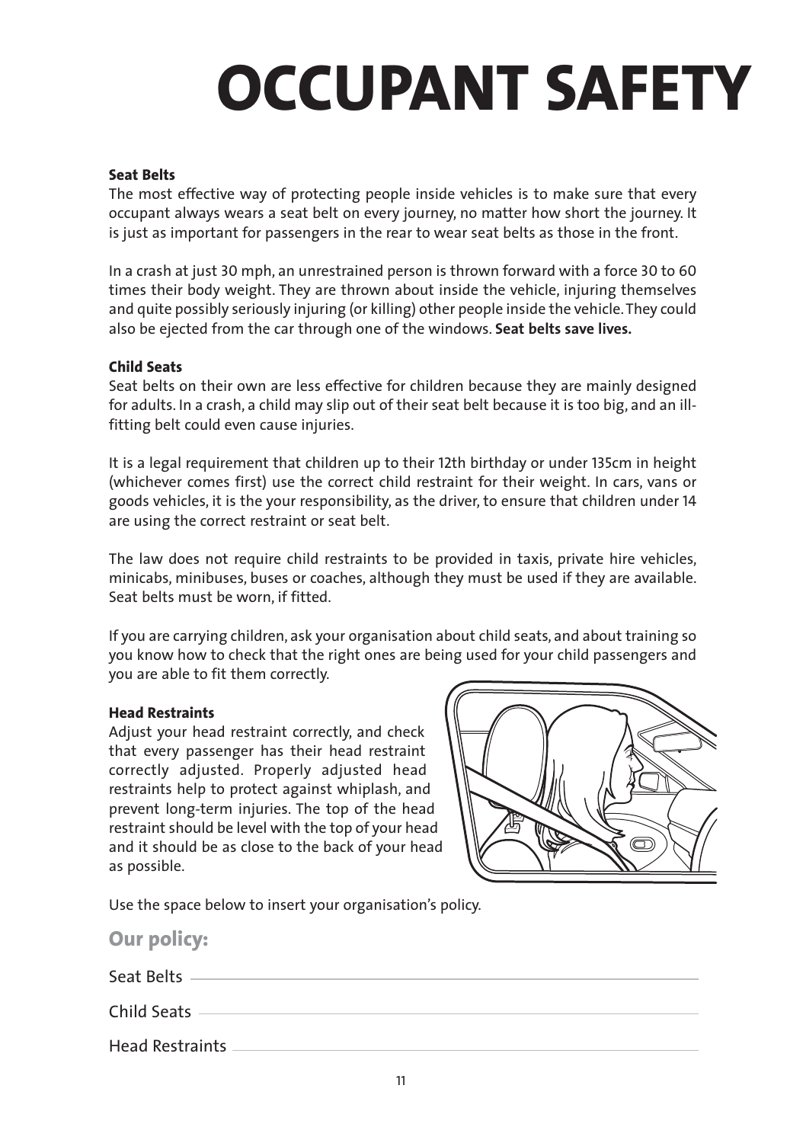# **OCCUPANT SAFETY**

#### **Seat Belts**

The most effective way of protecting people inside vehicles is to make sure that every occupant always wears a seat belt on every journey, no matter how short the journey. It is just as important for passengers in the rear to wear seat belts as those in the front.

In a crash at just 30 mph, an unrestrained person is thrown forward with a force 30 to 60 times their body weight. They are thrown about inside the vehicle, injuring themselves and quite possibly seriously injuring (or killing) other people inside the vehicle. They could also be ejected from the car through one of the windows. **Seat belts save lives.**

#### **Child Seats**

Seat belts on their own are less effective for children because they are mainly designed for adults. In a crash, a child may slip out of their seat belt because it is too big, and an illfitting belt could even cause injuries.

It is a legal requirement that children up to their 12th birthday or under 135cm in height (whichever comes first) use the correct child restraint for their weight. In cars, vans or goods vehicles, it is the your responsibility, as the driver, to ensure that children under 14 are using the correct restraint or seat belt.

The law does not require child restraints to be provided in taxis, private hire vehicles, minicabs, minibuses, buses or coaches, although they must be used if they are available. Seat belts must be worn, if fitted.

If you are carrying children, ask your organisation about child seats, and about training so you know how to check that the right ones are being used for your child passengers and you are able to fit them correctly.

#### **Head Restraints**

Adjust your head restraint correctly, and check that every passenger has their head restraint correctly adjusted. Properly adjusted head restraints help to protect against whiplash, and prevent long-term injuries. The top of the head restraint should be level with the top of your head and it should be as close to the back of your head as possible.



Use the space below to insert your organisation's policy.

| <b>Our policy:</b>     |  |
|------------------------|--|
| Seat Belts             |  |
| Child Seats            |  |
| <b>Head Restraints</b> |  |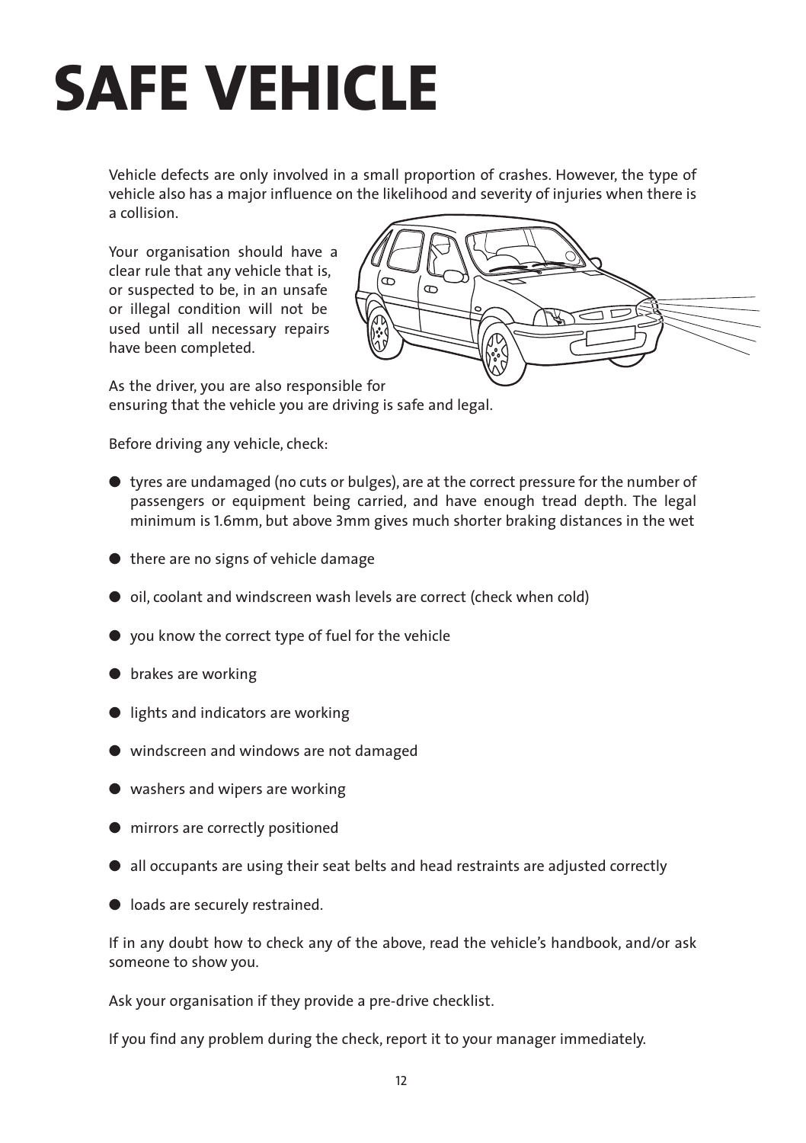### **SAFE VEHICLE**

Vehicle defects are only involved in a small proportion of crashes. However, the type of vehicle also has a major influence on the likelihood and severity of injuries when there is a collision.

Your organisation should have a clear rule that any vehicle that is, or suspected to be, in an unsafe or illegal condition will not be used until all necessary repairs have been completed.



As the driver, you are also responsible for ensuring that the vehicle you are driving is safe and legal.

Before driving any vehicle, check:

- tyres are undamaged (no cuts or bulges), are at the correct pressure for the number of passengers or equipment being carried, and have enough tread depth. The legal minimum is 1.6mm, but above 3mm gives much shorter braking distances in the wet
- there are no signs of vehicle damage
- oil, coolant and windscreen wash levels are correct (check when cold)
- you know the correct type of fuel for the vehicle
- brakes are working
- lights and indicators are working
- windscreen and windows are not damaged
- washers and wipers are working
- mirrors are correctly positioned
- all occupants are using their seat belts and head restraints are adjusted correctly
- loads are securely restrained.

If in any doubt how to check any of the above, read the vehicle's handbook, and/or ask someone to show you.

Ask your organisation if they provide a pre-drive checklist.

If you find any problem during the check, report it to your manager immediately.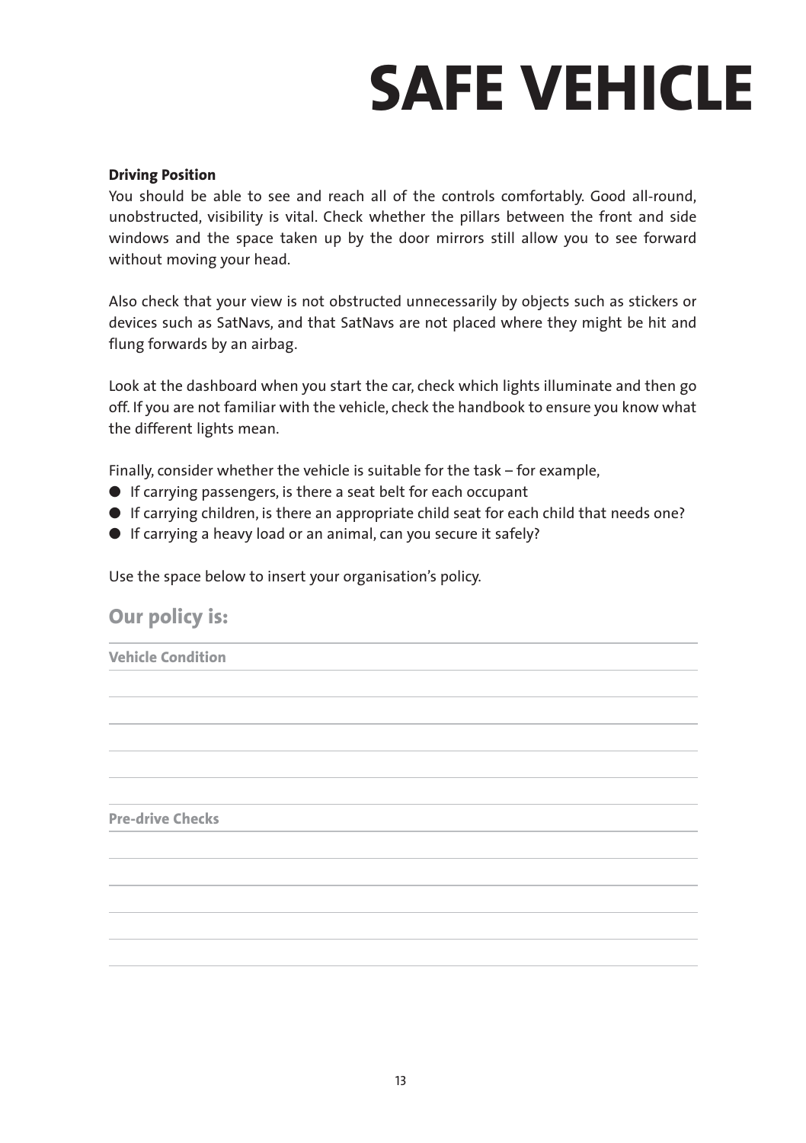## **SAFE VEHICLE**

#### **Driving Position**

You should be able to see and reach all of the controls comfortably. Good all-round, unobstructed, visibility is vital. Check whether the pillars between the front and side windows and the space taken up by the door mirrors still allow you to see forward without moving your head.

Also check that your view is not obstructed unnecessarily by objects such as stickers or devices such as SatNavs, and that SatNavs are not placed where they might be hit and flung forwards by an airbag.

Look at the dashboard when you start the car, check which lights illuminate and then go off. If you are not familiar with the vehicle, check the handbook to ensure you know what the different lights mean.

Finally, consider whether the vehicle is suitable for the task – for example,

- If carrying passengers, is there a seat belt for each occupant
- If carrying children, is there an appropriate child seat for each child that needs one?
- If carrying a heavy load or an animal, can you secure it safely?

Use the space below to insert your organisation's policy.

#### **Our policy is:**

**Vehicle Condition**

**Pre-drive Checks**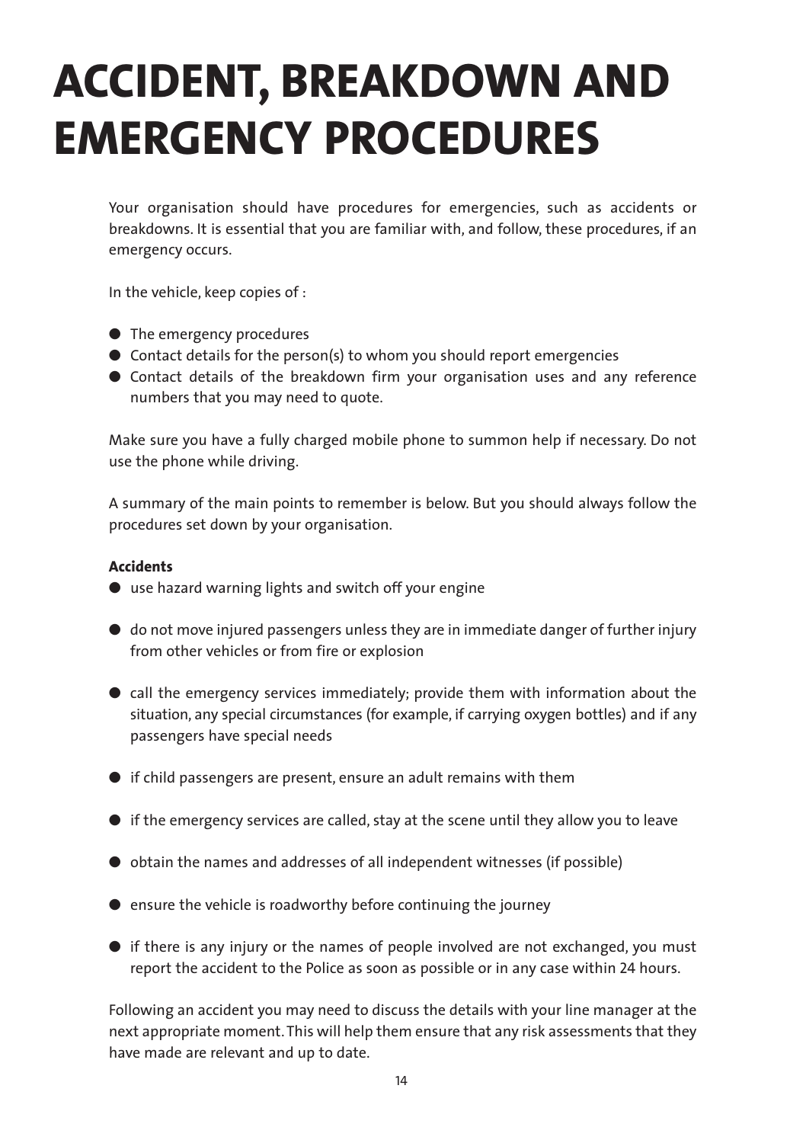### **ACCIDENT, BREAKDOWN AND EMERGENCY PROCEDURES**

Your organisation should have procedures for emergencies, such as accidents or breakdowns. It is essential that you are familiar with, and follow, these procedures, if an emergency occurs.

In the vehicle, keep copies of :

- The emergency procedures
- Contact details for the person(s) to whom you should report emergencies
- Contact details of the breakdown firm your organisation uses and any reference numbers that you may need to quote.

Make sure you have a fully charged mobile phone to summon help if necessary. Do not use the phone while driving.

A summary of the main points to remember is below. But you should always follow the procedures set down by your organisation.

#### **Accidents**

- use hazard warning lights and switch off your engine
- do not move injured passengers unless they are in immediate danger of further injury from other vehicles or from fire or explosion
- call the emergency services immediately; provide them with information about the situation, any special circumstances (for example, if carrying oxygen bottles) and if any passengers have special needs
- if child passengers are present, ensure an adult remains with them
- $\bullet$  if the emergency services are called, stay at the scene until they allow you to leave
- obtain the names and addresses of all independent witnesses (if possible)
- ensure the vehicle is roadworthy before continuing the journey
- $\bullet$  if there is any injury or the names of people involved are not exchanged, you must report the accident to the Police as soon as possible or in any case within 24 hours.

Following an accident you may need to discuss the details with your line manager at the next appropriate moment. This will help them ensure that any risk assessments that they have made are relevant and up to date.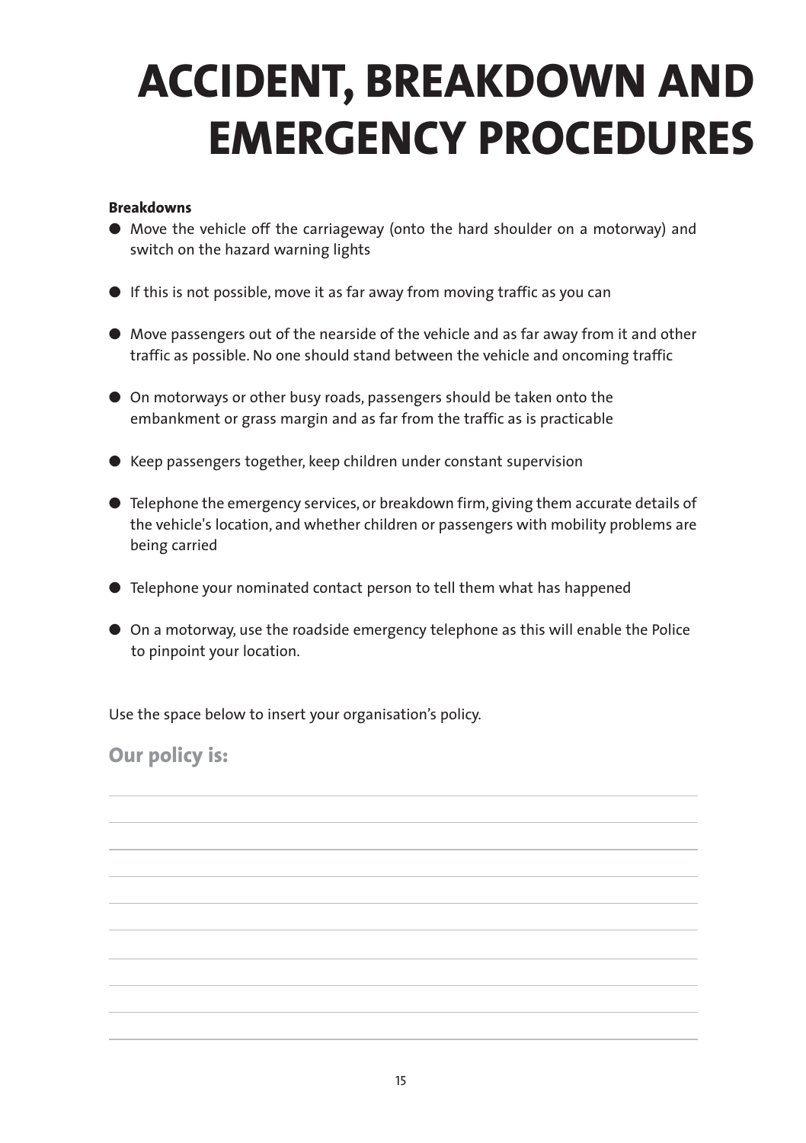### **ACCIDENT, BREAKDOWN AND EMERGENCY PROCEDURES**

#### **Breakdowns**

- Move the vehicle off the carriageway (onto the hard shoulder on a motorway) and switch on the hazard warning lights
- If this is not possible, move it as far away from moving traffic as you can
- Move passengers out of the nearside of the vehicle and as far away from it and other traffic as possible. No one should stand between the vehicle and oncoming traffic
- On motorways or other busy roads, passengers should be taken onto the embankment or grass margin and as far from the traffic as is practicable
- Keep passengers together, keep children under constant supervision
- Telephone the emergency services, or breakdown firm, giving them accurate details of the vehicle's location, and whether children or passengers with mobility problems are being carried
- Telephone your nominated contact person to tell them what has happened
- On a motorway, use the roadside emergency telephone as this will enable the Police to pinpoint your location.

Use the space below to insert your organisation's policy.

**Our policy is:**

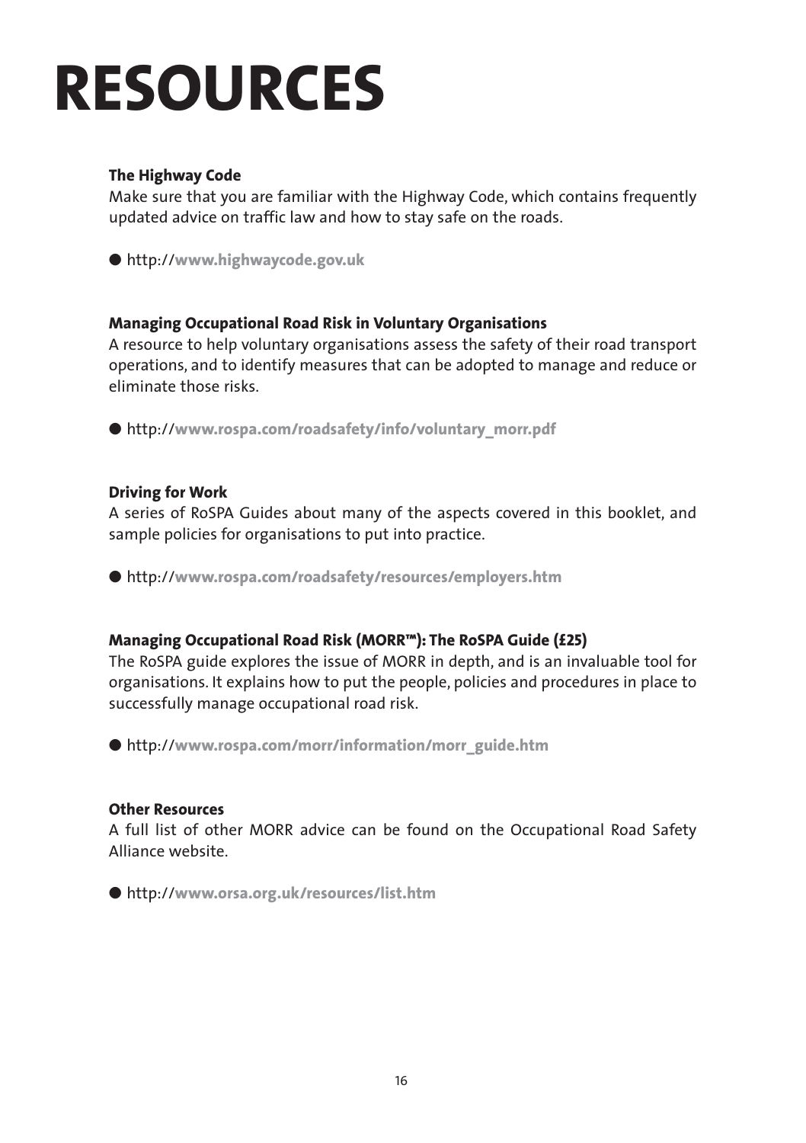### **RESOURCES**

#### **The Highway Code**

Make sure that you are familiar with the Highway Code, which contains frequently updated advice on traffic law and how to stay safe on the roads.

● http://**www.highwaycode.gov.uk**

#### **Managing Occupational Road Risk in Voluntary Organisations**

A resource to help voluntary organisations assess the safety of their road transport operations, and to identify measures that can be adopted to manage and reduce or eliminate those risks.

● http://www.rospa.com/roadsafety/info/voluntary\_morr.pdf

#### **Driving for Work**

A series of RoSPA Guides about many of the aspects covered in this booklet, and sample policies for organisations to put into practice.

● http://**www.rospa.com/roadsafety/resources/employers.htm**

#### **Managing Occupational Road Risk (MORR™): The RoSPA Guide (£25)**

The RoSPA guide explores the issue of MORR in depth, and is an invaluable tool for organisations. It explains how to put the people, policies and procedures in place to successfully manage occupational road risk.

● http://www.rospa.com/morr/information/morr\_guide.htm

#### **Other Resources**

A full list of other MORR advice can be found on the Occupational Road Safety Alliance website.

● http://**www.orsa.org.uk/resources/list.htm**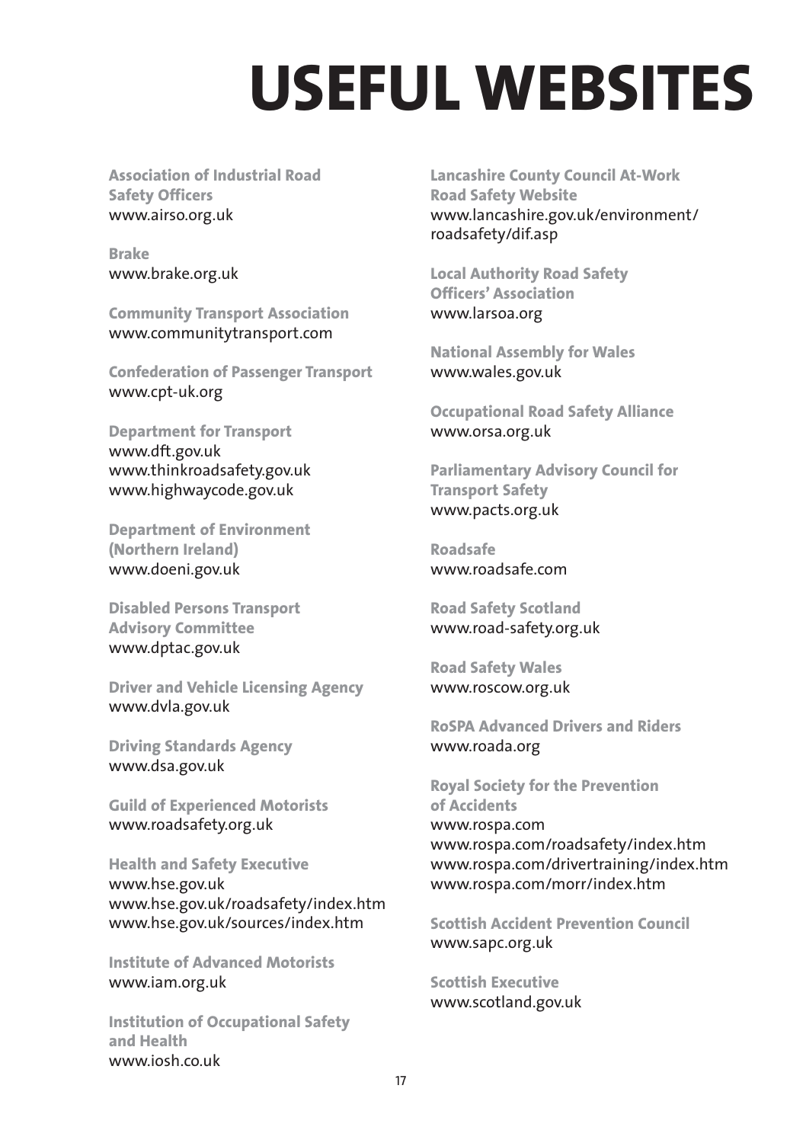### **USEFUL WEBSITES**

**Association of Industrial Road Safety Officers** www.airso.org.uk

**Brake** www.brake.org.uk

**Community Transport Association** www.communitytransport.com

**Confederation of Passenger Transport** www.cpt-uk.org

**Department for Transport** www.dft.gov.uk www.thinkroadsafety.gov.uk www.highwaycode.gov.uk

**Department of Environment (Northern Ireland)** www.doeni.gov.uk

**Disabled Persons Transport Advisory Committee** www.dptac.gov.uk

**Driver and Vehicle Licensing Agency** www.dvla.gov.uk

**Driving Standards Agency** www.dsa.gov.uk

**Guild of Experienced Motorists** www.roadsafety.org.uk

**Health and Safety Executive** www.hse.gov.uk www.hse.gov.uk/roadsafety/index.htm www.hse.gov.uk/sources/index.htm

**Institute of Advanced Motorists** www.iam.org.uk

**Institution of Occupational Safety and Health** www.iosh.co.uk

**Lancashire County Council At-Work Road Safety Website**  www.lancashire.gov.uk/environment/ roadsafety/dif.asp

**Local Authority Road Safety Officers' Association** www.larsoa.org

**National Assembly for Wales** www.wales.gov.uk

**Occupational Road Safety Alliance** www.orsa.org.uk

**Parliamentary Advisory Council for Transport Safety** www.pacts.org.uk

**Roadsafe** www.roadsafe.com

**Road Safety Scotland** www.road-safety.org.uk

**Road Safety Wales** www.roscow.org.uk

**RoSPA Advanced Drivers and Riders** www.roada.org

**Royal Society for the Prevention of Accidents** www.rospa.com www.rospa.com/roadsafety/index.htm www.rospa.com/drivertraining/index.htm www.rospa.com/morr/index.htm

**Scottish Accident Prevention Council** www.sapc.org.uk

**Scottish Executive** www.scotland.gov.uk